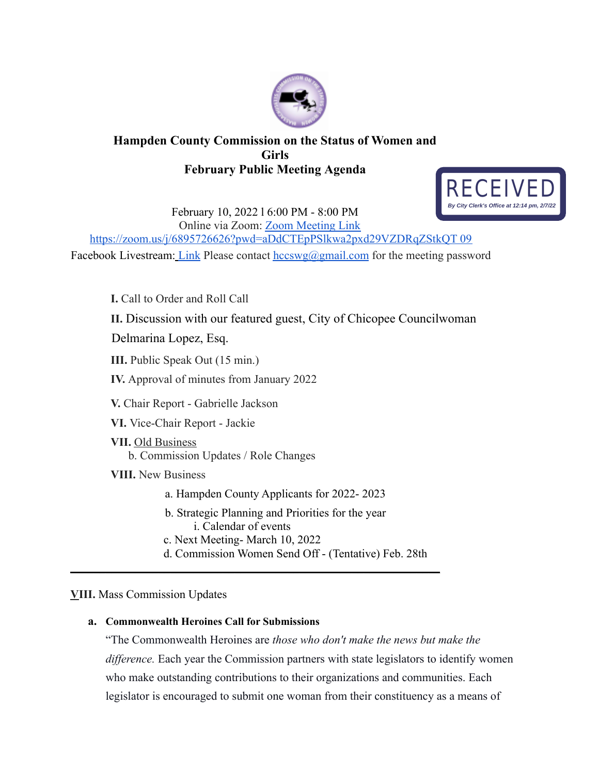

## **Hampden County Commission on the Status of Women and Girls February Public Meeting Agenda**



February 10, 2022 l 6:00 PM - 8:00 PM Online via Zoom: Zoom Meeting Link https://zoom.us/j/6895726626?pwd=aDdCTEpPSlkwa2pxd29VZDRqZStkQT 09

Facebook Livestream: Link Please contact  $hccswg(\partial gmail.com)$  for the meeting password

**I.** Call to Order and Roll Call **II.** Discussion with our featured guest, City of Chicopee Councilwoman Delmarina Lopez, Esq. **III.** Public Speak Out (15 min.) **IV.** Approval of minutes from January 2022 **V.** Chair Report - Gabrielle Jackson **VI.** Vice-Chair Report - Jackie **VII.** Old Business b. Commission Updates / Role Changes **VIII.** New Business a. Hampden County Applicants for 2022- 2023 b. Strategic Planning and Priorities for the year i. Calendar of events c. Next Meeting- March 10, 2022 d. Commission Women Send Off - (Tentative) Feb. 28th

 $\mathcal{L}_\text{max}$  and  $\mathcal{L}_\text{max}$  and  $\mathcal{L}_\text{max}$  and  $\mathcal{L}_\text{max}$  and  $\mathcal{L}_\text{max}$  and  $\mathcal{L}_\text{max}$ 

## **VIII.** Mass Commission Updates

## **a. Commonwealth Heroines Call for Submissions**

"The Commonwealth Heroines are *those who don't make the news but make the difference.* Each year the Commission partners with state legislators to identify women who make outstanding contributions to their organizations and communities. Each legislator is encouraged to submit one woman from their constituency as a means of